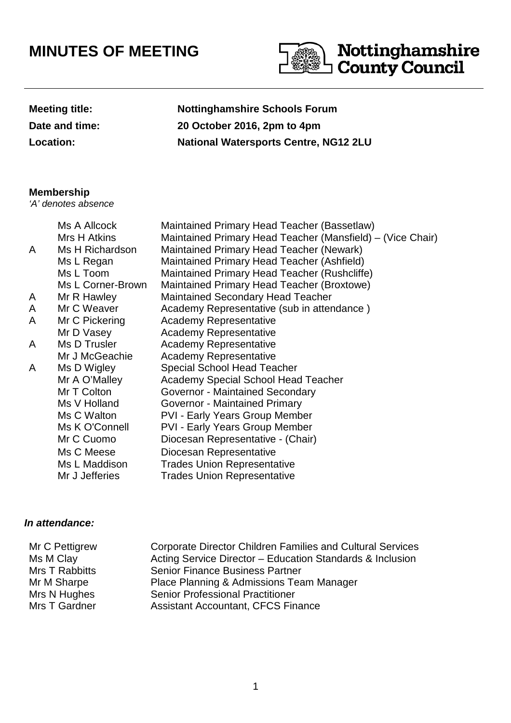## **MINUTES OF MEETING**



| <b>Meeting title:</b> |
|-----------------------|
| Date and time:        |
| Location:             |

**Nottinghamshire Schools Forum Date and time: 20 October 2016, 2pm to 4pm Location: National Watersports Centre, NG12 2LU**

## **Membership**

'A' denotes absence

|   | Ms A Allcock      | Maintained Primary Head Teacher (Bassetlaw)                |
|---|-------------------|------------------------------------------------------------|
|   | Mrs H Atkins      | Maintained Primary Head Teacher (Mansfield) – (Vice Chair) |
| A | Ms H Richardson   | Maintained Primary Head Teacher (Newark)                   |
|   | Ms L Regan        | Maintained Primary Head Teacher (Ashfield)                 |
|   | Ms L Toom         | Maintained Primary Head Teacher (Rushcliffe)               |
|   | Ms L Corner-Brown | Maintained Primary Head Teacher (Broxtowe)                 |
| A | Mr R Hawley       | <b>Maintained Secondary Head Teacher</b>                   |
| A | Mr C Weaver       | Academy Representative (sub in attendance)                 |
| A | Mr C Pickering    | <b>Academy Representative</b>                              |
|   | Mr D Vasey        | <b>Academy Representative</b>                              |
| A | Ms D Trusler      | <b>Academy Representative</b>                              |
|   | Mr J McGeachie    | <b>Academy Representative</b>                              |
| A | Ms D Wigley       | Special School Head Teacher                                |
|   | Mr A O'Malley     | <b>Academy Special School Head Teacher</b>                 |
|   | Mr T Colton       | Governor - Maintained Secondary                            |
|   | Ms V Holland      | Governor - Maintained Primary                              |
|   | Ms C Walton       | PVI - Early Years Group Member                             |
|   | Ms K O'Connell    | <b>PVI - Early Years Group Member</b>                      |
|   | Mr C Cuomo        | Diocesan Representative - (Chair)                          |
|   | Ms C Meese        | Diocesan Representative                                    |
|   | Ms L Maddison     | <b>Trades Union Representative</b>                         |
|   | Mr J Jefferies    | <b>Trades Union Representative</b>                         |

## **In attendance:**

| Mr C Pettigrew | <b>Corporate Director Children Families and Cultural Services</b> |
|----------------|-------------------------------------------------------------------|
| Ms M Clay      | Acting Service Director - Education Standards & Inclusion         |
| Mrs T Rabbitts | <b>Senior Finance Business Partner</b>                            |
| Mr M Sharpe    | Place Planning & Admissions Team Manager                          |
| Mrs N Hughes   | <b>Senior Professional Practitioner</b>                           |
| Mrs T Gardner  | <b>Assistant Accountant, CFCS Finance</b>                         |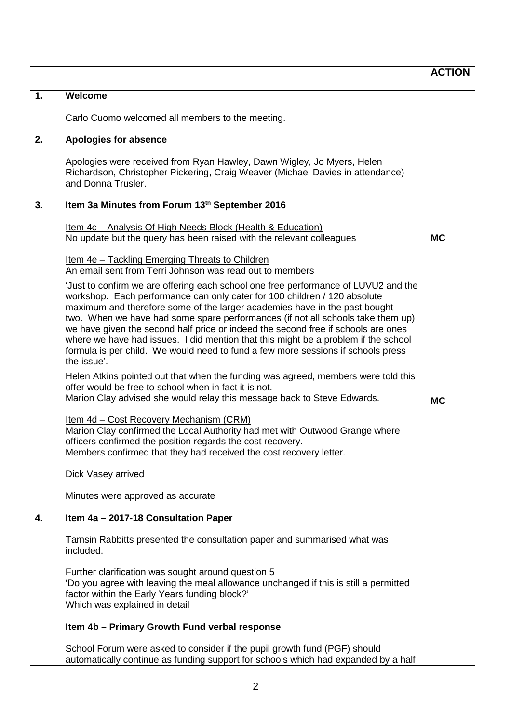|    |                                                                                                                                                                                                                                                                                                                                                                                                                                                                                                                                                                                                                | <b>ACTION</b> |
|----|----------------------------------------------------------------------------------------------------------------------------------------------------------------------------------------------------------------------------------------------------------------------------------------------------------------------------------------------------------------------------------------------------------------------------------------------------------------------------------------------------------------------------------------------------------------------------------------------------------------|---------------|
| 1. | Welcome                                                                                                                                                                                                                                                                                                                                                                                                                                                                                                                                                                                                        |               |
|    | Carlo Cuomo welcomed all members to the meeting.                                                                                                                                                                                                                                                                                                                                                                                                                                                                                                                                                               |               |
| 2. | <b>Apologies for absence</b>                                                                                                                                                                                                                                                                                                                                                                                                                                                                                                                                                                                   |               |
|    | Apologies were received from Ryan Hawley, Dawn Wigley, Jo Myers, Helen<br>Richardson, Christopher Pickering, Craig Weaver (Michael Davies in attendance)<br>and Donna Trusler.                                                                                                                                                                                                                                                                                                                                                                                                                                 |               |
| 3. | Item 3a Minutes from Forum 13th September 2016                                                                                                                                                                                                                                                                                                                                                                                                                                                                                                                                                                 |               |
|    | <u>Item 4c - Analysis Of High Needs Block (Health &amp; Education)</u><br>No update but the query has been raised with the relevant colleagues                                                                                                                                                                                                                                                                                                                                                                                                                                                                 | <b>MC</b>     |
|    | <u>Item 4e - Tackling Emerging Threats to Children</u><br>An email sent from Terri Johnson was read out to members                                                                                                                                                                                                                                                                                                                                                                                                                                                                                             |               |
|    | 'Just to confirm we are offering each school one free performance of LUVU2 and the<br>workshop. Each performance can only cater for 100 children / 120 absolute<br>maximum and therefore some of the larger academies have in the past bought<br>two. When we have had some spare performances (if not all schools take them up)<br>we have given the second half price or indeed the second free if schools are ones<br>where we have had issues. I did mention that this might be a problem if the school<br>formula is per child. We would need to fund a few more sessions if schools press<br>the issue'. |               |
|    | Helen Atkins pointed out that when the funding was agreed, members were told this<br>offer would be free to school when in fact it is not.<br>Marion Clay advised she would relay this message back to Steve Edwards.                                                                                                                                                                                                                                                                                                                                                                                          | <b>MC</b>     |
|    | Item 4d - Cost Recovery Mechanism (CRM)<br>Marion Clay confirmed the Local Authority had met with Outwood Grange where<br>officers confirmed the position regards the cost recovery.<br>Members confirmed that they had received the cost recovery letter.                                                                                                                                                                                                                                                                                                                                                     |               |
|    | Dick Vasey arrived                                                                                                                                                                                                                                                                                                                                                                                                                                                                                                                                                                                             |               |
|    | Minutes were approved as accurate                                                                                                                                                                                                                                                                                                                                                                                                                                                                                                                                                                              |               |
| 4. | Item 4a - 2017-18 Consultation Paper                                                                                                                                                                                                                                                                                                                                                                                                                                                                                                                                                                           |               |
|    | Tamsin Rabbitts presented the consultation paper and summarised what was<br>included.                                                                                                                                                                                                                                                                                                                                                                                                                                                                                                                          |               |
|    | Further clarification was sought around question 5<br>'Do you agree with leaving the meal allowance unchanged if this is still a permitted<br>factor within the Early Years funding block?'<br>Which was explained in detail                                                                                                                                                                                                                                                                                                                                                                                   |               |
|    | Item 4b - Primary Growth Fund verbal response                                                                                                                                                                                                                                                                                                                                                                                                                                                                                                                                                                  |               |
|    | School Forum were asked to consider if the pupil growth fund (PGF) should<br>automatically continue as funding support for schools which had expanded by a half                                                                                                                                                                                                                                                                                                                                                                                                                                                |               |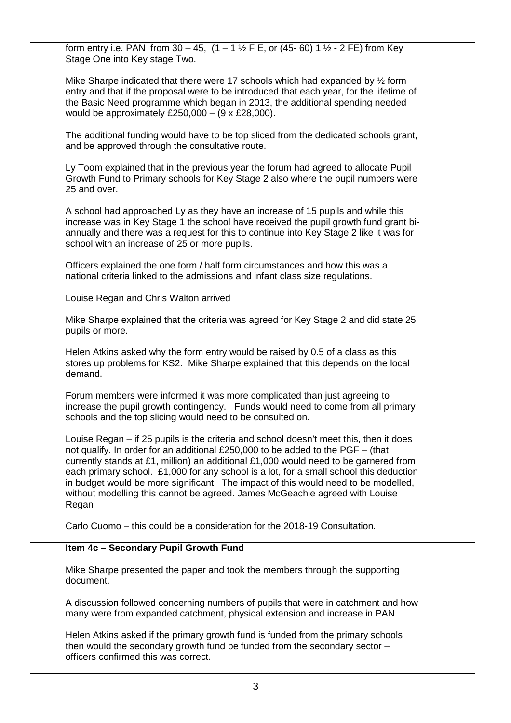| form entry i.e. PAN from 30 - 45, $(1 - 1 \frac{1}{2} F E, or (45 - 60) 1 \frac{1}{2} - 2 FE)$ from Key<br>Stage One into Key stage Two.                                                                                                                                                                                                                                                                                                                                                                                                  |  |
|-------------------------------------------------------------------------------------------------------------------------------------------------------------------------------------------------------------------------------------------------------------------------------------------------------------------------------------------------------------------------------------------------------------------------------------------------------------------------------------------------------------------------------------------|--|
| Mike Sharpe indicated that there were 17 schools which had expanded by $\frac{1}{2}$ form<br>entry and that if the proposal were to be introduced that each year, for the lifetime of<br>the Basic Need programme which began in 2013, the additional spending needed<br>would be approximately £250,000 - $(9 \times \text{\pounds}28,000)$ .                                                                                                                                                                                            |  |
| The additional funding would have to be top sliced from the dedicated schools grant,<br>and be approved through the consultative route.                                                                                                                                                                                                                                                                                                                                                                                                   |  |
| Ly Toom explained that in the previous year the forum had agreed to allocate Pupil<br>Growth Fund to Primary schools for Key Stage 2 also where the pupil numbers were<br>25 and over.                                                                                                                                                                                                                                                                                                                                                    |  |
| A school had approached Ly as they have an increase of 15 pupils and while this<br>increase was in Key Stage 1 the school have received the pupil growth fund grant bi-<br>annually and there was a request for this to continue into Key Stage 2 like it was for<br>school with an increase of 25 or more pupils.                                                                                                                                                                                                                        |  |
| Officers explained the one form / half form circumstances and how this was a<br>national criteria linked to the admissions and infant class size regulations.                                                                                                                                                                                                                                                                                                                                                                             |  |
| Louise Regan and Chris Walton arrived                                                                                                                                                                                                                                                                                                                                                                                                                                                                                                     |  |
| Mike Sharpe explained that the criteria was agreed for Key Stage 2 and did state 25<br>pupils or more.                                                                                                                                                                                                                                                                                                                                                                                                                                    |  |
| Helen Atkins asked why the form entry would be raised by 0.5 of a class as this<br>stores up problems for KS2. Mike Sharpe explained that this depends on the local<br>demand.                                                                                                                                                                                                                                                                                                                                                            |  |
| Forum members were informed it was more complicated than just agreeing to<br>increase the pupil growth contingency. Funds would need to come from all primary<br>schools and the top slicing would need to be consulted on.                                                                                                                                                                                                                                                                                                               |  |
| Louise Regan – if 25 pupils is the criteria and school doesn't meet this, then it does<br>not qualify. In order for an additional £250,000 to be added to the PGF - (that<br>currently stands at £1, million) an additional £1,000 would need to be garnered from<br>each primary school. £1,000 for any school is a lot, for a small school this deduction<br>in budget would be more significant. The impact of this would need to be modelled,<br>without modelling this cannot be agreed. James McGeachie agreed with Louise<br>Regan |  |
| Carlo Cuomo - this could be a consideration for the 2018-19 Consultation.                                                                                                                                                                                                                                                                                                                                                                                                                                                                 |  |
| Item 4c - Secondary Pupil Growth Fund                                                                                                                                                                                                                                                                                                                                                                                                                                                                                                     |  |
| Mike Sharpe presented the paper and took the members through the supporting<br>document.                                                                                                                                                                                                                                                                                                                                                                                                                                                  |  |
| A discussion followed concerning numbers of pupils that were in catchment and how<br>many were from expanded catchment, physical extension and increase in PAN                                                                                                                                                                                                                                                                                                                                                                            |  |
| Helen Atkins asked if the primary growth fund is funded from the primary schools<br>then would the secondary growth fund be funded from the secondary sector -<br>officers confirmed this was correct.                                                                                                                                                                                                                                                                                                                                    |  |
|                                                                                                                                                                                                                                                                                                                                                                                                                                                                                                                                           |  |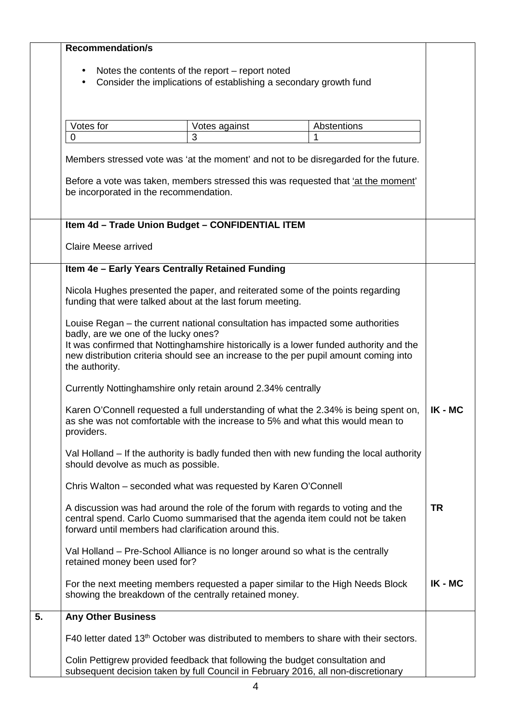|    | <b>Recommendation/s</b>                                                                                                                                                                                                   |               |             |           |
|----|---------------------------------------------------------------------------------------------------------------------------------------------------------------------------------------------------------------------------|---------------|-------------|-----------|
|    |                                                                                                                                                                                                                           |               |             |           |
|    | Notes the contents of the report - report noted<br>$\bullet$                                                                                                                                                              |               |             |           |
|    | Consider the implications of establishing a secondary growth fund<br>$\bullet$                                                                                                                                            |               |             |           |
|    |                                                                                                                                                                                                                           |               |             |           |
|    |                                                                                                                                                                                                                           |               |             |           |
|    | Votes for                                                                                                                                                                                                                 | Votes against | Abstentions |           |
|    | $\mathbf 0$                                                                                                                                                                                                               | 3             | 1           |           |
|    | Members stressed vote was 'at the moment' and not to be disregarded for the future.                                                                                                                                       |               |             |           |
|    | Before a vote was taken, members stressed this was requested that 'at the moment'                                                                                                                                         |               |             |           |
|    | be incorporated in the recommendation.                                                                                                                                                                                    |               |             |           |
|    | Item 4d - Trade Union Budget - CONFIDENTIAL ITEM                                                                                                                                                                          |               |             |           |
|    | <b>Claire Meese arrived</b>                                                                                                                                                                                               |               |             |           |
|    | Item 4e - Early Years Centrally Retained Funding                                                                                                                                                                          |               |             |           |
|    | Nicola Hughes presented the paper, and reiterated some of the points regarding<br>funding that were talked about at the last forum meeting.                                                                               |               |             |           |
|    | Louise Regan – the current national consultation has impacted some authorities<br>badly, are we one of the lucky ones?                                                                                                    |               |             |           |
|    | It was confirmed that Nottinghamshire historically is a lower funded authority and the<br>new distribution criteria should see an increase to the per pupil amount coming into<br>the authority.                          |               |             |           |
|    | Currently Nottinghamshire only retain around 2.34% centrally                                                                                                                                                              |               |             |           |
|    | Karen O'Connell requested a full understanding of what the 2.34% is being spent on,<br>as she was not comfortable with the increase to 5% and what this would mean to<br>providers.                                       |               |             | IK - MC   |
|    | Val Holland – If the authority is badly funded then with new funding the local authority<br>should devolve as much as possible.                                                                                           |               |             |           |
|    | Chris Walton – seconded what was requested by Karen O'Connell                                                                                                                                                             |               |             |           |
|    | A discussion was had around the role of the forum with regards to voting and the<br>central spend. Carlo Cuomo summarised that the agenda item could not be taken<br>forward until members had clarification around this. |               |             | <b>TR</b> |
|    | Val Holland - Pre-School Alliance is no longer around so what is the centrally<br>retained money been used for?                                                                                                           |               |             |           |
|    | For the next meeting members requested a paper similar to the High Needs Block<br>showing the breakdown of the centrally retained money.                                                                                  |               |             | IK - MC   |
| 5. | <b>Any Other Business</b>                                                                                                                                                                                                 |               |             |           |
|    | F40 letter dated 13 <sup>th</sup> October was distributed to members to share with their sectors.                                                                                                                         |               |             |           |
|    | Colin Pettigrew provided feedback that following the budget consultation and<br>subsequent decision taken by full Council in February 2016, all non-discretionary                                                         |               |             |           |